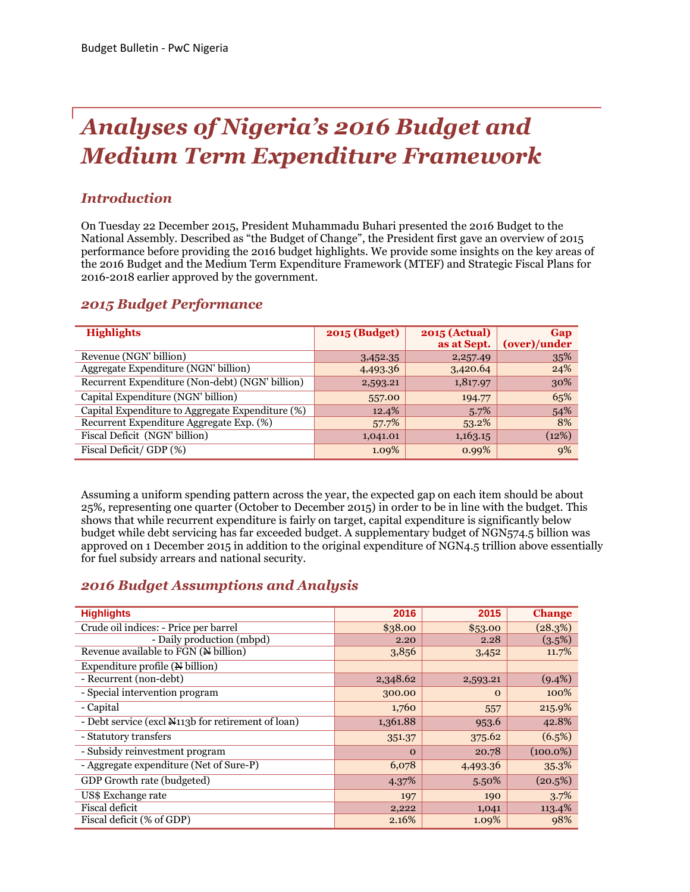# *Analyses of Nigeria's 2016 Budget and Medium Term Expenditure Framework*

# *Introduction*

On Tuesday 22 December 2015, President Muhammadu Buhari presented the 2016 Budget to the National Assembly. Described as "the Budget of Change", the President first gave an overview of 2015 performance before providing the 2016 budget highlights. We provide some insights on the key areas of the 2016 Budget and the Medium Term Expenditure Framework (MTEF) and Strategic Fiscal Plans for 2016-2018 earlier approved by the government.

# *2015 Budget Performance*

| <b>Highlights</b>                                | <b>2015 (Budget)</b> | <b>2015 (Actual)</b> | Gap          |
|--------------------------------------------------|----------------------|----------------------|--------------|
|                                                  |                      | as at Sept.          | (over)/under |
| Revenue (NGN' billion)                           | 3,452.35             | 2,257.49             | 35%          |
| Aggregate Expenditure (NGN' billion)             | 4,493.36             | 3,420.64             | 24%          |
| Recurrent Expenditure (Non-debt) (NGN' billion)  | 2,593.21             | 1,817.97             | 30%          |
| Capital Expenditure (NGN' billion)               | 557.00               | 194.77               | 65%          |
| Capital Expenditure to Aggregate Expenditure (%) | 12.4%                | 5.7%                 | 54%          |
| Recurrent Expenditure Aggregate Exp. (%)         | 57.7%                | 53.2%                | 8%           |
| Fiscal Deficit (NGN' billion)                    | 1,041.01             | 1,163.15             | (12%)        |
| Fiscal Deficit/GDP (%)                           | 1.09%                | 0.99%                | 9%           |

Assuming a uniform spending pattern across the year, the expected gap on each item should be about 25%, representing one quarter (October to December 2015) in order to be in line with the budget. This shows that while recurrent expenditure is fairly on target, capital expenditure is significantly below budget while debt servicing has far exceeded budget. A supplementary budget of NGN574.5 billion was approved on 1 December 2015 in addition to the original expenditure of NGN4.5 trillion above essentially for fuel subsidy arrears and national security.

# *2016 Budget Assumptions and Analysis*

| <b>Highlights</b>                                  | 2016     | 2015     | <b>Change</b> |
|----------------------------------------------------|----------|----------|---------------|
| Crude oil indices: - Price per barrel              | \$38.00  | \$53.00  | (28.3%)       |
| - Daily production (mbpd)                          | 2.20     | 2.28     | (3.5%)        |
| Revenue available to FGN (N billion)               | 3,856    | 3,452    | 11.7%         |
| Expenditure profile (N billion)                    |          |          |               |
| - Recurrent (non-debt)                             | 2,348.62 | 2,593.21 | $(9.4\%)$     |
| - Special intervention program                     | 300.00   | $\Omega$ | 100%          |
| - Capital                                          | 1,760    | 557      | 215.9%        |
| - Debt service (excl N113b for retirement of loan) | 1,361.88 | 953.6    | 42.8%         |
| - Statutory transfers                              | 351.37   | 375.62   | (6.5%)        |
| - Subsidy reinvestment program                     | $\Omega$ | 20.78    | $(100.0\%)$   |
| - Aggregate expenditure (Net of Sure-P)            | 6,078    | 4,493.36 | 35.3%         |
| GDP Growth rate (budgeted)                         | 4.37%    | 5.50%    | (20.5%)       |
| US\$ Exchange rate                                 | 197      | 190      | 3.7%          |
| <b>Fiscal deficit</b>                              | 2,222    | 1,041    | 113.4%        |
| Fiscal deficit (% of GDP)                          | 2.16%    | 1.09%    | 98%           |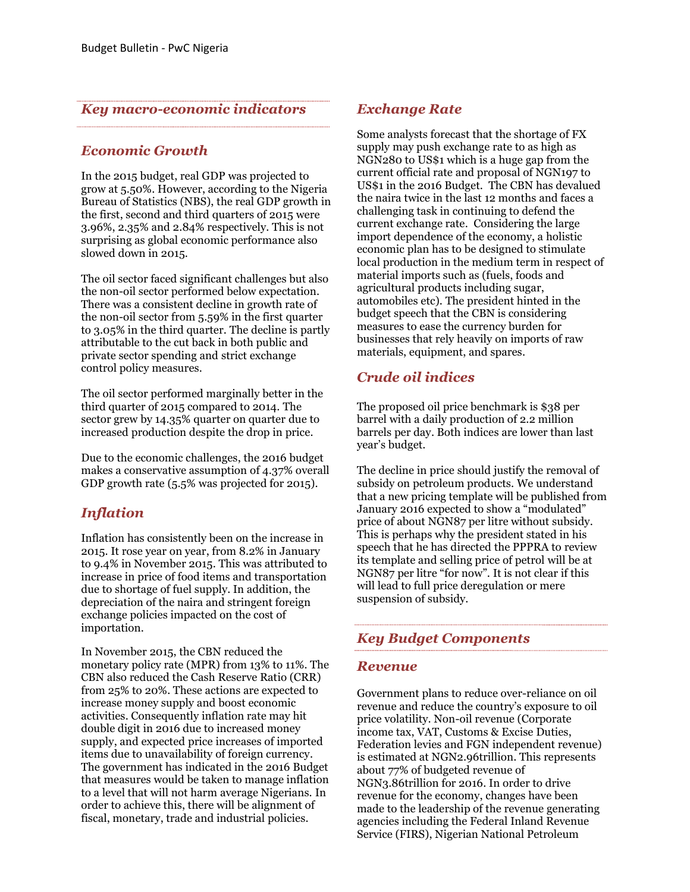#### *Key macro-economic indicators*

#### *Economic Growth*

In the 2015 budget, real GDP was projected to grow at 5.50%. However, according to the Nigeria Bureau of Statistics (NBS), the real GDP growth in the first, second and third quarters of 2015 were 3.96%, 2.35% and 2.84% respectively. This is not surprising as global economic performance also slowed down in 2015.

The oil sector faced significant challenges but also the non-oil sector performed below expectation. There was a consistent decline in growth rate of the non-oil sector from 5.59% in the first quarter to 3.05% in the third quarter. The decline is partly attributable to the cut back in both public and private sector spending and strict exchange control policy measures.

The oil sector performed marginally better in the third quarter of 2015 compared to 2014. The sector grew by 14.35% quarter on quarter due to increased production despite the drop in price.

Due to the economic challenges, the 2016 budget makes a conservative assumption of 4.37% overall GDP growth rate (5.5% was projected for 2015).

#### *Inflation*

Inflation has consistently been on the increase in 2015. It rose year on year, from 8.2% in January to 9.4% in November 2015. This was attributed to increase in price of food items and transportation due to shortage of fuel supply. In addition, the depreciation of the naira and stringent foreign exchange policies impacted on the cost of importation.

In November 2015, the CBN reduced the monetary policy rate (MPR) from 13% to 11%. The CBN also reduced the Cash Reserve Ratio (CRR) from 25% to 20%. These actions are expected to increase money supply and boost economic activities. Consequently inflation rate may hit double digit in 2016 due to increased money supply, and expected price increases of imported items due to unavailability of foreign currency. The government has indicated in the 2016 Budget that measures would be taken to manage inflation to a level that will not harm average Nigerians. In order to achieve this, there will be alignment of fiscal, monetary, trade and industrial policies.

## *Exchange Rate*

Some analysts forecast that the shortage of FX supply may push exchange rate to as high as NGN280 to US\$1 which is a huge gap from the current official rate and proposal of NGN197 to US\$1 in the 2016 Budget. The CBN has devalued the naira twice in the last 12 months and faces a challenging task in continuing to defend the current exchange rate. Considering the large import dependence of the economy, a holistic economic plan has to be designed to stimulate local production in the medium term in respect of material imports such as (fuels, foods and agricultural products including sugar, automobiles etc). The president hinted in the budget speech that the CBN is considering measures to ease the currency burden for businesses that rely heavily on imports of raw materials, equipment, and spares.

# *Crude oil indices*

The proposed oil price benchmark is \$38 per barrel with a daily production of 2.2 million barrels per day. Both indices are lower than last year's budget.

The decline in price should justify the removal of subsidy on petroleum products. We understand that a new pricing template will be published from January 2016 expected to show a "modulated" price of about NGN87 per litre without subsidy. This is perhaps why the president stated in his speech that he has directed the PPPRA to review its template and selling price of petrol will be at NGN87 per litre "for now". It is not clear if this will lead to full price deregulation or mere suspension of subsidy.

#### *Key Budget Components*

#### *Revenue*

Government plans to reduce over-reliance on oil revenue and reduce the country's exposure to oil price volatility. Non-oil revenue (Corporate income tax, VAT, Customs & Excise Duties, Federation levies and FGN independent revenue) is estimated at NGN2.96trillion. This represents about 77% of budgeted revenue of NGN3.86trillion for 2016. In order to drive revenue for the economy, changes have been made to the leadership of the revenue generating agencies including the Federal Inland Revenue Service (FIRS), Nigerian National Petroleum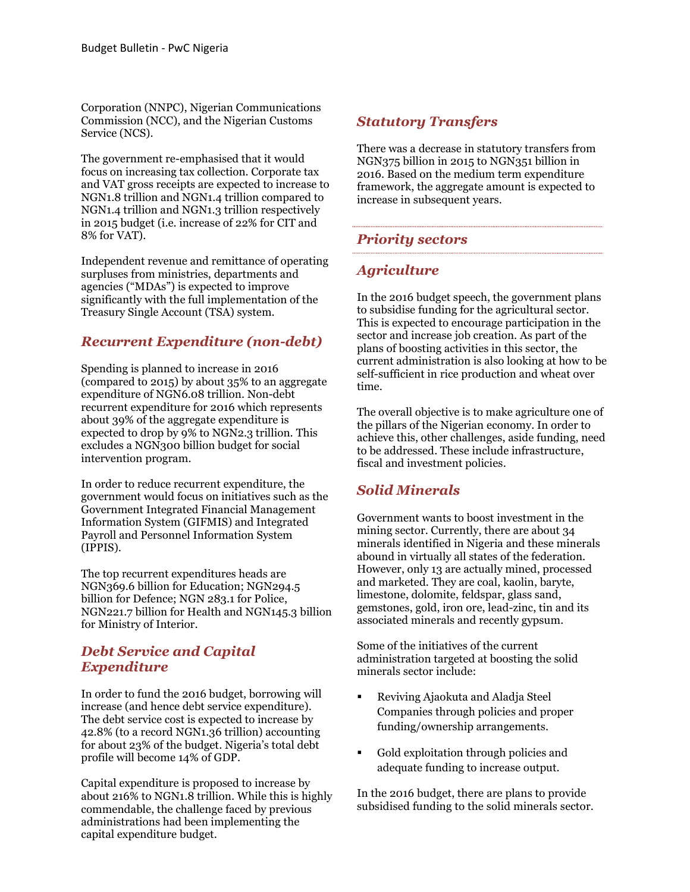Corporation (NNPC), Nigerian Communications Commission (NCC), and the Nigerian Customs Service (NCS).

The government re-emphasised that it would focus on increasing tax collection. Corporate tax and VAT gross receipts are expected to increase to NGN1.8 trillion and NGN1.4 trillion compared to NGN1.4 trillion and NGN1.3 trillion respectively in 2015 budget (i.e. increase of 22% for CIT and 8% for VAT).

Independent revenue and remittance of operating surpluses from ministries, departments and agencies ("MDAs") is expected to improve significantly with the full implementation of the Treasury Single Account (TSA) system.

# *Recurrent Expenditure (non-debt)*

Spending is planned to increase in 2016 (compared to 2015) by about 35% to an aggregate expenditure of NGN6.08 trillion. Non-debt recurrent expenditure for 2016 which represents about 39% of the aggregate expenditure is expected to drop by 9% to NGN2.3 trillion. This excludes a NGN300 billion budget for social intervention program.

In order to reduce recurrent expenditure, the government would focus on initiatives such as the Government Integrated Financial Management Information System (GIFMIS) and Integrated Payroll and Personnel Information System (IPPIS).

The top recurrent expenditures heads are NGN369.6 billion for Education; NGN294.5 billion for Defence; NGN 283.1 for Police, NGN221.7 billion for Health and NGN145.3 billion for Ministry of Interior.

## *Debt Service and Capital Expenditure*

In order to fund the 2016 budget, borrowing will increase (and hence debt service expenditure). The debt service cost is expected to increase by 42.8% (to a record NGN1.36 trillion) accounting for about 23% of the budget. Nigeria's total debt profile will become 14% of GDP.

Capital expenditure is proposed to increase by about 216% to NGN1.8 trillion. While this is highly commendable, the challenge faced by previous administrations had been implementing the capital expenditure budget.

# *Statutory Transfers*

There was a decrease in statutory transfers from NGN375 billion in 2015 to NGN351 billion in 2016. Based on the medium term expenditure framework, the aggregate amount is expected to increase in subsequent years.

#### *Priority sectors*

# *Agriculture*

In the 2016 budget speech, the government plans to subsidise funding for the agricultural sector. This is expected to encourage participation in the sector and increase job creation. As part of the plans of boosting activities in this sector, the current administration is also looking at how to be self-sufficient in rice production and wheat over time.

The overall objective is to make agriculture one of the pillars of the Nigerian economy. In order to achieve this, other challenges, aside funding, need to be addressed. These include infrastructure, fiscal and investment policies.

# *Solid Minerals*

Government wants to boost investment in the mining sector. Currently, there are about 34 minerals identified in Nigeria and these minerals abound in virtually all states of the federation. However, only 13 are actually mined, processed and marketed. They are coal, kaolin, baryte, limestone, dolomite, feldspar, glass sand, gemstones, gold, iron ore, lead-zinc, tin and its associated minerals and recently gypsum.

Some of the initiatives of the current administration targeted at boosting the solid minerals sector include:

- Reviving Ajaokuta and Aladja Steel Companies through policies and proper funding/ownership arrangements.
- Gold exploitation through policies and adequate funding to increase output.

In the 2016 budget, there are plans to provide subsidised funding to the solid minerals sector.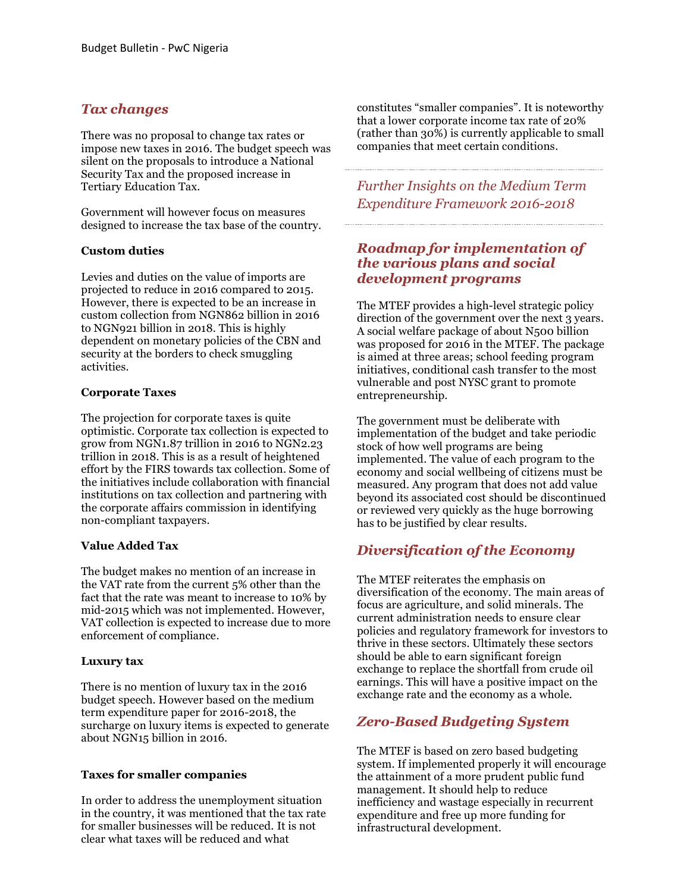# *Tax changes*

There was no proposal to change tax rates or impose new taxes in 2016. The budget speech was silent on the proposals to introduce a National Security Tax and the proposed increase in Tertiary Education Tax.

Government will however focus on measures designed to increase the tax base of the country.

#### **Custom duties**

Levies and duties on the value of imports are projected to reduce in 2016 compared to 2015. However, there is expected to be an increase in custom collection from NGN862 billion in 2016 to NGN921 billion in 2018. This is highly dependent on monetary policies of the CBN and security at the borders to check smuggling activities.

#### **Corporate Taxes**

The projection for corporate taxes is quite optimistic. Corporate tax collection is expected to grow from NGN1.87 trillion in 2016 to NGN2.23 trillion in 2018. This is as a result of heightened effort by the FIRS towards tax collection. Some of the initiatives include collaboration with financial institutions on tax collection and partnering with the corporate affairs commission in identifying non-compliant taxpayers.

#### **Value Added Tax**

The budget makes no mention of an increase in the VAT rate from the current 5% other than the fact that the rate was meant to increase to 10% by mid-2015 which was not implemented. However, VAT collection is expected to increase due to more enforcement of compliance.

#### **Luxury tax**

There is no mention of luxury tax in the 2016 budget speech. However based on the medium term expenditure paper for 2016-2018, the surcharge on luxury items is expected to generate about NGN15 billion in 2016.

#### **Taxes for smaller companies**

In order to address the unemployment situation in the country, it was mentioned that the tax rate for smaller businesses will be reduced. It is not clear what taxes will be reduced and what

constitutes "smaller companies". It is noteworthy that a lower corporate income tax rate of 20% (rather than 30%) is currently applicable to small companies that meet certain conditions.

*Further Insights on the Medium Term Expenditure Framework 2016-2018*

# *Roadmap for implementation of the various plans and social development programs*

The MTEF provides a high-level strategic policy direction of the government over the next 3 years. A social welfare package of about N500 billion was proposed for 2016 in the MTEF. The package is aimed at three areas; school feeding program initiatives, conditional cash transfer to the most vulnerable and post NYSC grant to promote entrepreneurship.

The government must be deliberate with implementation of the budget and take periodic stock of how well programs are being implemented. The value of each program to the economy and social wellbeing of citizens must be measured. Any program that does not add value beyond its associated cost should be discontinued or reviewed very quickly as the huge borrowing has to be justified by clear results.

# *Diversification of the Economy*

The MTEF reiterates the emphasis on diversification of the economy. The main areas of focus are agriculture, and solid minerals. The current administration needs to ensure clear policies and regulatory framework for investors to thrive in these sectors. Ultimately these sectors should be able to earn significant foreign exchange to replace the shortfall from crude oil earnings. This will have a positive impact on the exchange rate and the economy as a whole.

# *Zero-Based Budgeting System*

The MTEF is based on zero based budgeting system. If implemented properly it will encourage the attainment of a more prudent public fund management. It should help to reduce inefficiency and wastage especially in recurrent expenditure and free up more funding for infrastructural development.